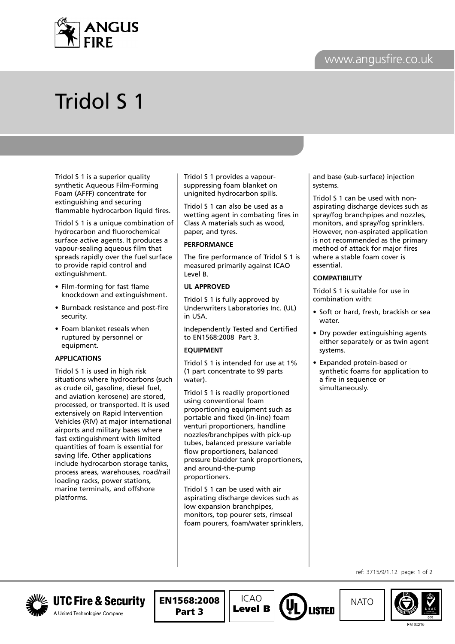



# Tridol S 1

Tridol S 1 is a superior quality synthetic Aqueous Film-Forming Foam (AFFF) concentrate for extinguishing and securing flammable hydrocarbon liquid fires.

Tridol S 1 is a unique combination of hydrocarbon and fluorochemical surface active agents. It produces a vapour-sealing aqueous film that spreads rapidly over the fuel surface to provide rapid control and extinguishment.

- Film-forming for fast flame knockdown and extinguishment.
- Burnback resistance and post-fire security.
- Foam blanket reseals when ruptured by personnel or equipment.

## **APPLICATIONS**

Tridol S 1 is used in high risk situations where hydrocarbons (such as crude oil, gasoline, diesel fuel, and aviation kerosene) are stored, processed, or transported. It is used extensively on Rapid Intervention Vehicles (RIV) at major international airports and military bases where fast extinguishment with limited quantities of foam is essential for saving life. Other applications include hydrocarbon storage tanks, process areas, warehouses, road/rail loading racks, power stations, marine terminals, and offshore platforms.

Tridol S 1 provides a vapoursuppressing foam blanket on unignited hydrocarbon spills.

Tridol S 1 can also be used as a wetting agent in combating fires in Class A materials such as wood, paper, and tyres.

## **PERFORMANCE**

The fire performance of Tridol S 1 is measured primarily against ICAO Level B.

## **UL APPROVED**

Tridol S 1 is fully approved by Underwriters Laboratories Inc. (UL) in USA.

Independently Tested and Certified to EN1568:2008 Part 3.

# **EQUIPMENT**

Tridol S 1 is intended for use at 1% (1 part concentrate to 99 parts water).

Tridol S 1 is readily proportioned using conventional foam proportioning equipment such as portable and fixed (in-line) foam venturi proportioners, handline nozzles/branchpipes with pick-up tubes, balanced pressure variable flow proportioners, balanced pressure bladder tank proportioners, and around-the-pump proportioners.

Tridol S 1 can be used with air aspirating discharge devices such as low expansion branchpipes, monitors, top pourer sets, rimseal foam pourers, foam/water sprinklers,

and base (sub-surface) injection systems.

Tridol S 1 can be used with nonaspirating discharge devices such as spray/fog branchpipes and nozzles, monitors, and spray/fog sprinklers. However, non-aspirated application is not recommended as the primary method of attack for major fires where a stable foam cover is essential.

## **COMPATIBILITY**

Tridol S 1 is suitable for use in combination with:

- Soft or hard, fresh, brackish or sea water.
- Dry powder extinguishing agents either separately or as twin agent systems.
- Expanded protein-based or synthetic foams for application to a fire in sequence or simultaneously.